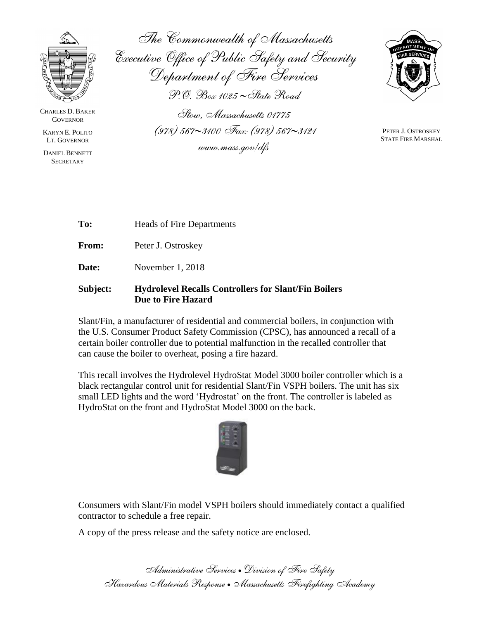

CHARLES D. BAKER **GOVERNOR** 

KARYN E. POLITO LT. GOVERNOR

DANIEL BENNETT **SECRETARY** 

*The Commonwealth of Massachusetts Executive Office of Public Safety and Security Department of Fire Services P.O. Box 1025 State Road*



*Stow, Massachusetts 01775 (978) 5673100 Fax: (978) 5673121 www.mass.gov/dfs*

PETER J. OSTROSKEY STATE FIRE MARSHAL

| Subject: | <b>Hydrolevel Recalls Controllers for Slant/Fin Boilers</b><br><b>Due to Fire Hazard</b> |
|----------|------------------------------------------------------------------------------------------|
| Date:    | November 1, 2018                                                                         |
| From:    | Peter J. Ostroskey                                                                       |
| To:      | <b>Heads of Fire Departments</b>                                                         |

Slant/Fin, a manufacturer of residential and commercial boilers, in conjunction with the U.S. Consumer Product Safety Commission (CPSC), has announced a recall of a certain boiler controller due to potential malfunction in the recalled controller that can cause the boiler to overheat, posing a fire hazard.

This recall involves the Hydrolevel HydroStat Model 3000 boiler controller which is a black rectangular control unit for residential Slant/Fin VSPH boilers. The unit has six small LED lights and the word 'Hydrostat' on the front. The controller is labeled as HydroStat on the front and HydroStat Model 3000 on the back.



Consumers with Slant/Fin model VSPH boilers should immediately contact a qualified contractor to schedule a free repair.

A copy of the press release and the safety notice are enclosed.

*Administrative Services Division of Fire Safety Hazardous Materials Response Massachusetts Firefighting Academy*